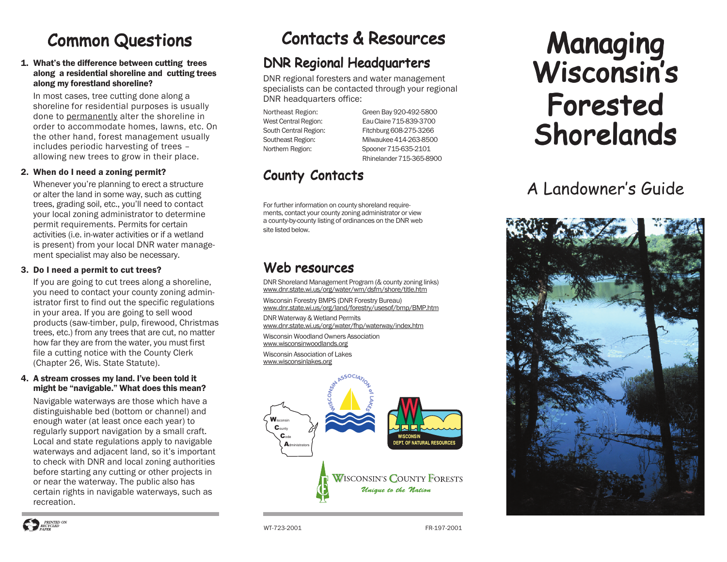# **Common Questions**

#### 1. What's the difference between cutting trees along a residential shoreline and cutting trees along my forestland shoreline?

In most cases, tree cutting done along a shoreline for residential purposes is usually done to permanently alter the shoreline in order to accommodate homes, lawns, etc. On the other hand, forest management usually includes periodic harvesting of trees – allowing new trees to grow in their place.

#### 2. When do I need a zoning permit?

Whenever you're planning to erect a structure or alter the land in some way, such as cutting trees, grading soil, etc., you'll need to contact your local zoning administrator to determine permit requirements. Permits for certain activities (i.e. in-water activities or if a wetland is present) from your local DNR water management specialist may also be necessary.

#### 3. Do I need a permit to cut trees?

If you are going to cut trees along a shoreline, you need to contact your county zoning administrator first to find out the specific regulations in your area. If you are going to sell wood products (saw-timber, pulp, firewood, Christmas trees, etc.) from any trees that are cut, no matter how far they are from the water, you must first file a cutting notice with the County Clerk (Chapter 26, Wis. State Statute).

#### 4. A stream crosses my land. I've been told it might be "navigable." What does this mean?

Navigable waterways are those which have a distinguishable bed (bottom or channel) and enough water (at least once each year) to regularly support navigation by a small craft. Local and state regulations apply to navigable waterways and adjacent land, so it's important to check with DNR and local zoning authorities before starting any cutting or other projects in or near the waterway. The public also has certain rights in navigable waterways, such as recreation.

# Contacts & Resources

## DNR Regional Headquarters

DNR regional foresters and water management specialists can be contacted through your regional DNR headquarters office:

Northeast Region: Green Bay 920-492-5800 West Central Region: Eau Claire 715-839-3700 South Central Region: Fitchburg 608-275-3266 Southeast Region: Milwaukee 414-263-8500 Northern Region: Spooner 715-635-2101 Rhinelander 715-365-8900

## County Contacts

For further information on county shoreland requirements, contact your county zoning administrator or view a county-by-county listing of ordinances on the DNR web site listed below.

## Web resources

DNR Shoreland Management Program (& county zoning links) www.dnr.state.wi.us/org/water/wm/dsfm/shore/title.htm

Wisconsin Forestry BMPS (DNR Forestry Bureau) www.dnr.state.wi.us/org/land/forestry/usesof/bmp/BMP.htm

DNR Waterway & Wetland Permits www.dnr.state.wi.us/org/water/fhp/waterway/index.htm

Wisconsin Woodland Owners Association www.wisconsinwoodlands.org Wisconsin Association of Lakes www.wisconsinlakes.org



# Managing Wisconsin's Forested Shorelands

# A Landowner's Guide